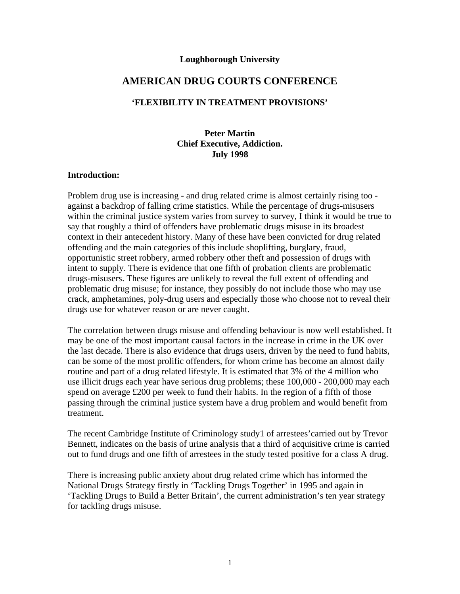#### **Loughborough University**

# **AMERICAN DRUG COURTS CONFERENCE**

#### **'FLEXIBILITY IN TREATMENT PROVISIONS'**

### **Peter Martin Chief Executive, Addiction. July 1998**

#### **Introduction:**

Problem drug use is increasing - and drug related crime is almost certainly rising too against a backdrop of falling crime statistics. While the percentage of drugs-misusers within the criminal justice system varies from survey to survey, I think it would be true to say that roughly a third of offenders have problematic drugs misuse in its broadest context in their antecedent history. Many of these have been convicted for drug related offending and the main categories of this include shoplifting, burglary, fraud, opportunistic street robbery, armed robbery other theft and possession of drugs with intent to supply. There is evidence that one fifth of probation clients are problematic drugs-misusers. These figures are unlikely to reveal the full extent of offending and problematic drug misuse; for instance, they possibly do not include those who may use crack, amphetamines, poly-drug users and especially those who choose not to reveal their drugs use for whatever reason or are never caught.

The correlation between drugs misuse and offending behaviour is now well established. It may be one of the most important causal factors in the increase in crime in the UK over the last decade. There is also evidence that drugs users, driven by the need to fund habits, can be some of the most prolific offenders, for whom crime has become an almost daily routine and part of a drug related lifestyle. It is estimated that 3% of the 4 million who use illicit drugs each year have serious drug problems; these 100,000 - 200,000 may each spend on average £200 per week to fund their habits. In the region of a fifth of those passing through the criminal justice system have a drug problem and would benefit from treatment.

The recent Cambridge Institute of Criminology study1 of arrestees'carried out by Trevor Bennett, indicates on the basis of urine analysis that a third of acquisitive crime is carried out to fund drugs and one fifth of arrestees in the study tested positive for a class A drug.

There is increasing public anxiety about drug related crime which has informed the National Drugs Strategy firstly in 'Tackling Drugs Together' in 1995 and again in 'Tackling Drugs to Build a Better Britain', the current administration's ten year strategy for tackling drugs misuse.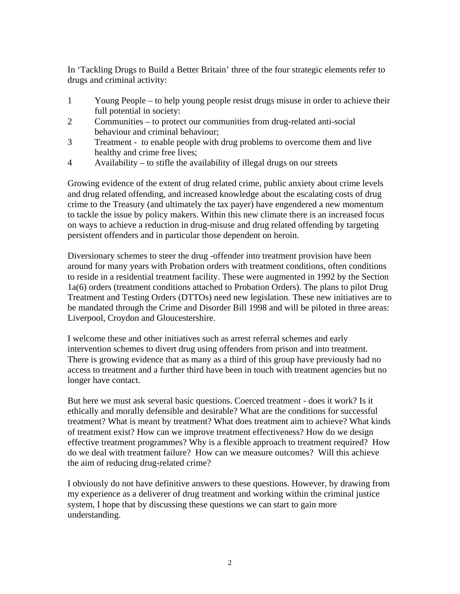In 'Tackling Drugs to Build a Better Britain' three of the four strategic elements refer to drugs and criminal activity:

- 1 Young People to help young people resist drugs misuse in order to achieve their full potential in society:
- 2 Communities to protect our communities from drug-related anti-social behaviour and criminal behaviour;
- 3 Treatment to enable people with drug problems to overcome them and live healthy and crime free lives;
- 4 Availability to stifle the availability of illegal drugs on our streets

Growing evidence of the extent of drug related crime, public anxiety about crime levels and drug related offending, and increased knowledge about the escalating costs of drug crime to the Treasury (and ultimately the tax payer) have engendered a new momentum to tackle the issue by policy makers. Within this new climate there is an increased focus on ways to achieve a reduction in drug-misuse and drug related offending by targeting persistent offenders and in particular those dependent on heroin.

Diversionary schemes to steer the drug -offender into treatment provision have been around for many years with Probation orders with treatment conditions, often conditions to reside in a residential treatment facility. These were augmented in 1992 by the Section 1a(6) orders (treatment conditions attached to Probation Orders). The plans to pilot Drug Treatment and Testing Orders (DTTOs) need new legislation. These new initiatives are to be mandated through the Crime and Disorder Bill 1998 and will be piloted in three areas: Liverpool, Croydon and Gloucestershire.

I welcome these and other initiatives such as arrest referral schemes and early intervention schemes to divert drug using offenders from prison and into treatment. There is growing evidence that as many as a third of this group have previously had no access to treatment and a further third have been in touch with treatment agencies but no longer have contact.

But here we must ask several basic questions. Coerced treatment - does it work? Is it ethically and morally defensible and desirable? What are the conditions for successful treatment? What is meant by treatment? What does treatment aim to achieve? What kinds of treatment exist? How can we improve treatment effectiveness? How do we design effective treatment programmes? Why is a flexible approach to treatment required? How do we deal with treatment failure? How can we measure outcomes? Will this achieve the aim of reducing drug-related crime?

I obviously do not have definitive answers to these questions. However, by drawing from my experience as a deliverer of drug treatment and working within the criminal justice system, I hope that by discussing these questions we can start to gain more understanding.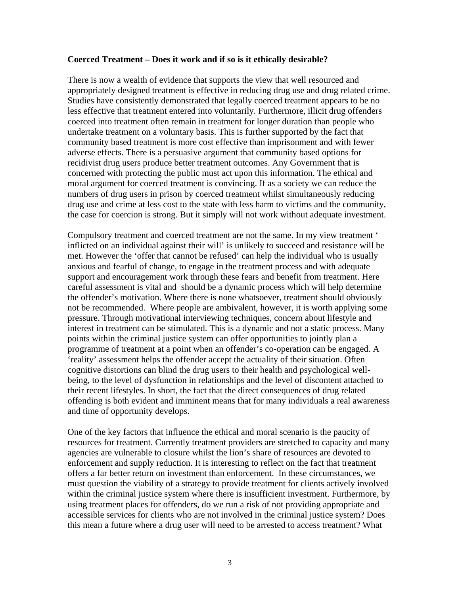#### **Coerced Treatment – Does it work and if so is it ethically desirable?**

There is now a wealth of evidence that supports the view that well resourced and appropriately designed treatment is effective in reducing drug use and drug related crime. Studies have consistently demonstrated that legally coerced treatment appears to be no less effective that treatment entered into voluntarily. Furthermore, illicit drug offenders coerced into treatment often remain in treatment for longer duration than people who undertake treatment on a voluntary basis. This is further supported by the fact that community based treatment is more cost effective than imprisonment and with fewer adverse effects. There is a persuasive argument that community based options for recidivist drug users produce better treatment outcomes. Any Government that is concerned with protecting the public must act upon this information. The ethical and moral argument for coerced treatment is convincing. If as a society we can reduce the numbers of drug users in prison by coerced treatment whilst simultaneously reducing drug use and crime at less cost to the state with less harm to victims and the community, the case for coercion is strong. But it simply will not work without adequate investment.

Compulsory treatment and coerced treatment are not the same. In my view treatment ' inflicted on an individual against their will' is unlikely to succeed and resistance will be met. However the 'offer that cannot be refused' can help the individual who is usually anxious and fearful of change, to engage in the treatment process and with adequate support and encouragement work through these fears and benefit from treatment. Here careful assessment is vital and should be a dynamic process which will help determine the offender's motivation. Where there is none whatsoever, treatment should obviously not be recommended. Where people are ambivalent, however, it is worth applying some pressure. Through motivational interviewing techniques, concern about lifestyle and interest in treatment can be stimulated. This is a dynamic and not a static process. Many points within the criminal justice system can offer opportunities to jointly plan a programme of treatment at a point when an offender's co-operation can be engaged. A 'reality' assessment helps the offender accept the actuality of their situation. Often cognitive distortions can blind the drug users to their health and psychological wellbeing, to the level of dysfunction in relationships and the level of discontent attached to their recent lifestyles. In short, the fact that the direct consequences of drug related offending is both evident and imminent means that for many individuals a real awareness and time of opportunity develops.

One of the key factors that influence the ethical and moral scenario is the paucity of resources for treatment. Currently treatment providers are stretched to capacity and many agencies are vulnerable to closure whilst the lion's share of resources are devoted to enforcement and supply reduction. It is interesting to reflect on the fact that treatment offers a far better return on investment than enforcement. In these circumstances, we must question the viability of a strategy to provide treatment for clients actively involved within the criminal justice system where there is insufficient investment. Furthermore, by using treatment places for offenders, do we run a risk of not providing appropriate and accessible services for clients who are not involved in the criminal justice system? Does this mean a future where a drug user will need to be arrested to access treatment? What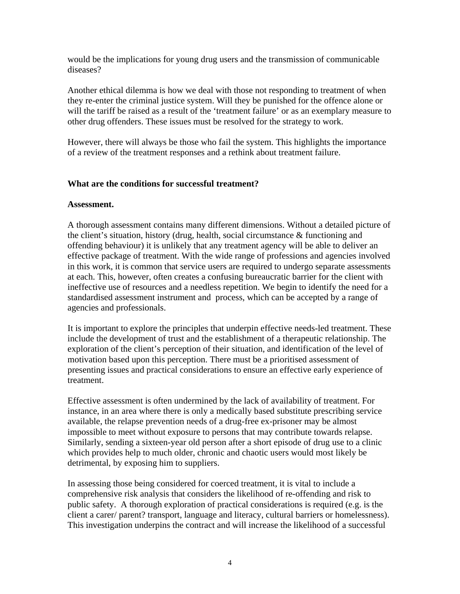would be the implications for young drug users and the transmission of communicable diseases?

Another ethical dilemma is how we deal with those not responding to treatment of when they re-enter the criminal justice system. Will they be punished for the offence alone or will the tariff be raised as a result of the 'treatment failure' or as an exemplary measure to other drug offenders. These issues must be resolved for the strategy to work.

However, there will always be those who fail the system. This highlights the importance of a review of the treatment responses and a rethink about treatment failure.

### **What are the conditions for successful treatment?**

#### **Assessment.**

A thorough assessment contains many different dimensions. Without a detailed picture of the client's situation, history (drug, health, social circumstance & functioning and offending behaviour) it is unlikely that any treatment agency will be able to deliver an effective package of treatment. With the wide range of professions and agencies involved in this work, it is common that service users are required to undergo separate assessments at each. This, however, often creates a confusing bureaucratic barrier for the client with ineffective use of resources and a needless repetition. We begin to identify the need for a standardised assessment instrument and process, which can be accepted by a range of agencies and professionals.

It is important to explore the principles that underpin effective needs-led treatment. These include the development of trust and the establishment of a therapeutic relationship. The exploration of the client's perception of their situation, and identification of the level of motivation based upon this perception. There must be a prioritised assessment of presenting issues and practical considerations to ensure an effective early experience of treatment.

Effective assessment is often undermined by the lack of availability of treatment. For instance, in an area where there is only a medically based substitute prescribing service available, the relapse prevention needs of a drug-free ex-prisoner may be almost impossible to meet without exposure to persons that may contribute towards relapse. Similarly, sending a sixteen-year old person after a short episode of drug use to a clinic which provides help to much older, chronic and chaotic users would most likely be detrimental, by exposing him to suppliers.

In assessing those being considered for coerced treatment, it is vital to include a comprehensive risk analysis that considers the likelihood of re-offending and risk to public safety. A thorough exploration of practical considerations is required (e.g. is the client a carer/ parent? transport, language and literacy, cultural barriers or homelessness). This investigation underpins the contract and will increase the likelihood of a successful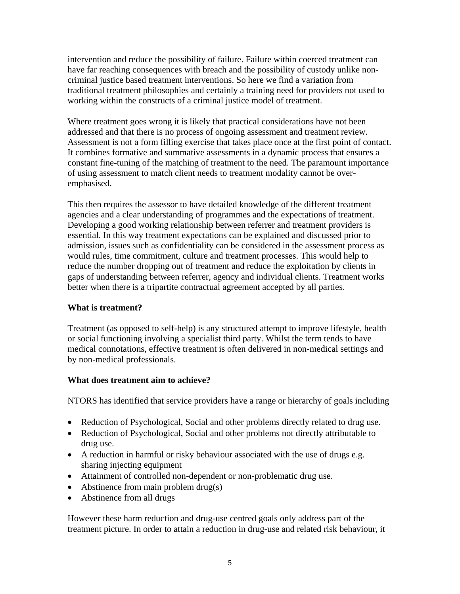intervention and reduce the possibility of failure. Failure within coerced treatment can have far reaching consequences with breach and the possibility of custody unlike noncriminal justice based treatment interventions. So here we find a variation from traditional treatment philosophies and certainly a training need for providers not used to working within the constructs of a criminal justice model of treatment.

Where treatment goes wrong it is likely that practical considerations have not been addressed and that there is no process of ongoing assessment and treatment review. Assessment is not a form filling exercise that takes place once at the first point of contact. It combines formative and summative assessments in a dynamic process that ensures a constant fine-tuning of the matching of treatment to the need. The paramount importance of using assessment to match client needs to treatment modality cannot be overemphasised.

This then requires the assessor to have detailed knowledge of the different treatment agencies and a clear understanding of programmes and the expectations of treatment. Developing a good working relationship between referrer and treatment providers is essential. In this way treatment expectations can be explained and discussed prior to admission, issues such as confidentiality can be considered in the assessment process as would rules, time commitment, culture and treatment processes. This would help to reduce the number dropping out of treatment and reduce the exploitation by clients in gaps of understanding between referrer, agency and individual clients. Treatment works better when there is a tripartite contractual agreement accepted by all parties.

# **What is treatment?**

Treatment (as opposed to self-help) is any structured attempt to improve lifestyle, health or social functioning involving a specialist third party. Whilst the term tends to have medical connotations, effective treatment is often delivered in non-medical settings and by non-medical professionals.

# **What does treatment aim to achieve?**

NTORS has identified that service providers have a range or hierarchy of goals including

- Reduction of Psychological, Social and other problems directly related to drug use.
- Reduction of Psychological, Social and other problems not directly attributable to drug use.
- A reduction in harmful or risky behaviour associated with the use of drugs e.g. sharing injecting equipment
- Attainment of controlled non-dependent or non-problematic drug use.
- Abstinence from main problem drug(s)
- Abstinence from all drugs

However these harm reduction and drug-use centred goals only address part of the treatment picture. In order to attain a reduction in drug-use and related risk behaviour, it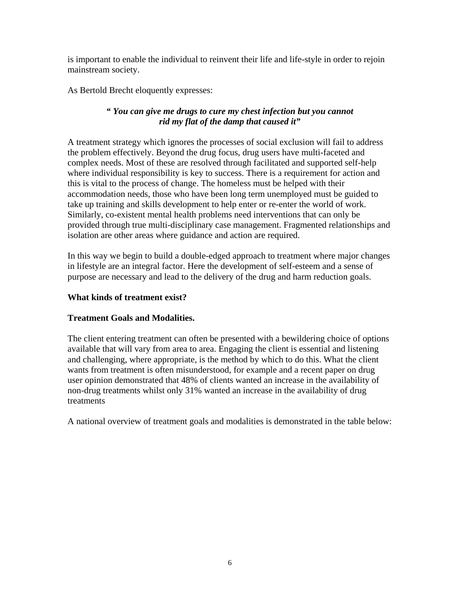is important to enable the individual to reinvent their life and life-style in order to rejoin mainstream society.

As Bertold Brecht eloquently expresses:

# *" You can give me drugs to cure my chest infection but you cannot rid my flat of the damp that caused it"*

A treatment strategy which ignores the processes of social exclusion will fail to address the problem effectively. Beyond the drug focus, drug users have multi-faceted and complex needs. Most of these are resolved through facilitated and supported self-help where individual responsibility is key to success. There is a requirement for action and this is vital to the process of change. The homeless must be helped with their accommodation needs, those who have been long term unemployed must be guided to take up training and skills development to help enter or re-enter the world of work. Similarly, co-existent mental health problems need interventions that can only be provided through true multi-disciplinary case management. Fragmented relationships and isolation are other areas where guidance and action are required.

In this way we begin to build a double-edged approach to treatment where major changes in lifestyle are an integral factor. Here the development of self-esteem and a sense of purpose are necessary and lead to the delivery of the drug and harm reduction goals.

# **What kinds of treatment exist?**

# **Treatment Goals and Modalities.**

The client entering treatment can often be presented with a bewildering choice of options available that will vary from area to area. Engaging the client is essential and listening and challenging, where appropriate, is the method by which to do this. What the client wants from treatment is often misunderstood, for example and a recent paper on drug user opinion demonstrated that 48% of clients wanted an increase in the availability of non-drug treatments whilst only 31% wanted an increase in the availability of drug treatments

A national overview of treatment goals and modalities is demonstrated in the table below: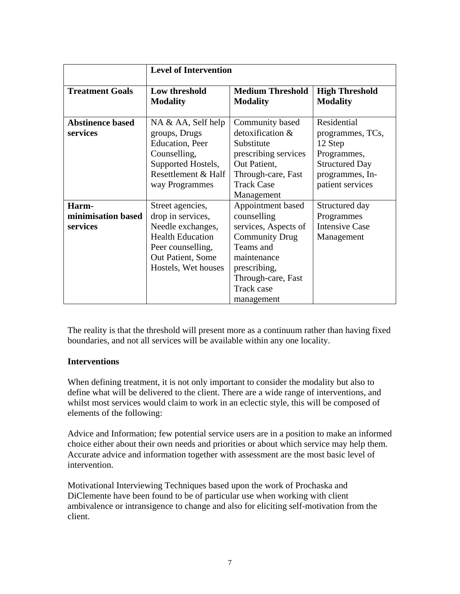|                                         | <b>Level of Intervention</b>                                                                                                                           |                                                                                                                                                                                 |                                                                                                                           |
|-----------------------------------------|--------------------------------------------------------------------------------------------------------------------------------------------------------|---------------------------------------------------------------------------------------------------------------------------------------------------------------------------------|---------------------------------------------------------------------------------------------------------------------------|
| <b>Treatment Goals</b>                  | Low threshold<br><b>Modality</b>                                                                                                                       | <b>Medium Threshold</b><br><b>Modality</b>                                                                                                                                      | <b>High Threshold</b><br><b>Modality</b>                                                                                  |
| <b>Abstinence based</b><br>services     | NA & AA, Self help<br>groups, Drugs<br><b>Education</b> , Peer<br>Counselling,<br>Supported Hostels,<br>Resettlement & Half<br>way Programmes          | Community based<br>detoxification &<br>Substitute<br>prescribing services<br>Out Patient,<br>Through-care, Fast<br><b>Track Case</b><br>Management                              | Residential<br>programmes, TCs,<br>12 Step<br>Programmes,<br><b>Structured Day</b><br>programmes, In-<br>patient services |
| Harm-<br>minimisation based<br>services | Street agencies,<br>drop in services,<br>Needle exchanges,<br><b>Health Education</b><br>Peer counselling,<br>Out Patient, Some<br>Hostels, Wet houses | Appointment based<br>counselling<br>services, Aspects of<br><b>Community Drug</b><br>Teams and<br>maintenance<br>prescribing,<br>Through-care, Fast<br>Track case<br>management | Structured day<br>Programmes<br><b>Intensive Case</b><br>Management                                                       |

The reality is that the threshold will present more as a continuum rather than having fixed boundaries, and not all services will be available within any one locality.

# **Interventions**

When defining treatment, it is not only important to consider the modality but also to define what will be delivered to the client. There are a wide range of interventions, and whilst most services would claim to work in an eclectic style, this will be composed of elements of the following:

Advice and Information; few potential service users are in a position to make an informed choice either about their own needs and priorities or about which service may help them. Accurate advice and information together with assessment are the most basic level of intervention.

Motivational Interviewing Techniques based upon the work of Prochaska and DiClemente have been found to be of particular use when working with client ambivalence or intransigence to change and also for eliciting self-motivation from the client.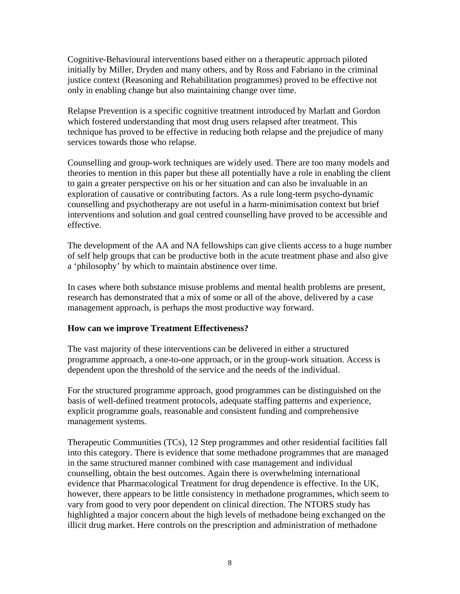Cognitive-Behavioural interventions based either on a therapeutic approach piloted initially by Miller, Dryden and many others, and by Ross and Fabriano in the criminal justice context (Reasoning and Rehabilitation programmes) proved to be effective not only in enabling change but also maintaining change over time.

Relapse Prevention is a specific cognitive treatment introduced by Marlatt and Gordon which fostered understanding that most drug users relapsed after treatment. This technique has proved to be effective in reducing both relapse and the prejudice of many services towards those who relapse.

Counselling and group-work techniques are widely used. There are too many models and theories to mention in this paper but these all potentially have a role in enabling the client to gain a greater perspective on his or her situation and can also be invaluable in an exploration of causative or contributing factors. As a rule long-term psycho-dynamic counselling and psychotherapy are not useful in a harm-minimisation context but brief interventions and solution and goal centred counselling have proved to be accessible and effective.

The development of the AA and NA fellowships can give clients access to a huge number of self help groups that can be productive both in the acute treatment phase and also give a 'philosophy' by which to maintain abstinence over time.

In cases where both substance misuse problems and mental health problems are present, research has demonstrated that a mix of some or all of the above, delivered by a case management approach, is perhaps the most productive way forward.

# **How can we improve Treatment Effectiveness?**

The vast majority of these interventions can be delivered in either a structured programme approach, a one-to-one approach, or in the group-work situation. Access is dependent upon the threshold of the service and the needs of the individual.

For the structured programme approach, good programmes can be distinguished on the basis of well-defined treatment protocols, adequate staffing patterns and experience, explicit programme goals, reasonable and consistent funding and comprehensive management systems.

Therapeutic Communities (TCs), 12 Step programmes and other residential facilities fall into this category. There is evidence that some methadone programmes that are managed in the same structured manner combined with case management and individual counselling, obtain the best outcomes. Again there is overwhelming international evidence that Pharmacological Treatment for drug dependence is effective. In the UK, however, there appears to be little consistency in methadone programmes, which seem to vary from good to very poor dependent on clinical direction. The NTORS study has highlighted a major concern about the high levels of methadone being exchanged on the illicit drug market. Here controls on the prescription and administration of methadone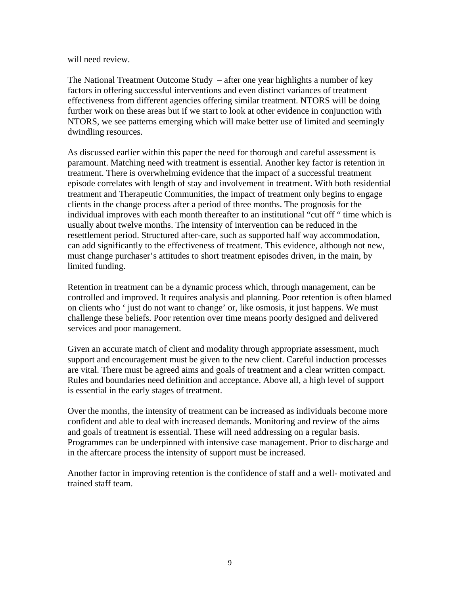will need review.

The National Treatment Outcome Study – after one year highlights a number of key factors in offering successful interventions and even distinct variances of treatment effectiveness from different agencies offering similar treatment. NTORS will be doing further work on these areas but if we start to look at other evidence in conjunction with NTORS, we see patterns emerging which will make better use of limited and seemingly dwindling resources.

As discussed earlier within this paper the need for thorough and careful assessment is paramount. Matching need with treatment is essential. Another key factor is retention in treatment. There is overwhelming evidence that the impact of a successful treatment episode correlates with length of stay and involvement in treatment. With both residential treatment and Therapeutic Communities, the impact of treatment only begins to engage clients in the change process after a period of three months. The prognosis for the individual improves with each month thereafter to an institutional "cut off " time which is usually about twelve months. The intensity of intervention can be reduced in the resettlement period. Structured after-care, such as supported half way accommodation, can add significantly to the effectiveness of treatment. This evidence, although not new, must change purchaser's attitudes to short treatment episodes driven, in the main, by limited funding.

Retention in treatment can be a dynamic process which, through management, can be controlled and improved. It requires analysis and planning. Poor retention is often blamed on clients who ' just do not want to change' or, like osmosis, it just happens. We must challenge these beliefs. Poor retention over time means poorly designed and delivered services and poor management.

Given an accurate match of client and modality through appropriate assessment, much support and encouragement must be given to the new client. Careful induction processes are vital. There must be agreed aims and goals of treatment and a clear written compact. Rules and boundaries need definition and acceptance. Above all, a high level of support is essential in the early stages of treatment.

Over the months, the intensity of treatment can be increased as individuals become more confident and able to deal with increased demands. Monitoring and review of the aims and goals of treatment is essential. These will need addressing on a regular basis. Programmes can be underpinned with intensive case management. Prior to discharge and in the aftercare process the intensity of support must be increased.

Another factor in improving retention is the confidence of staff and a well- motivated and trained staff team.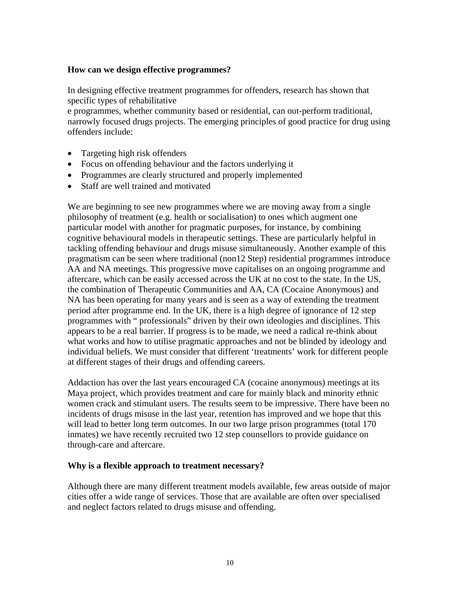#### **How can we design effective programmes?**

In designing effective treatment programmes for offenders, research has shown that specific types of rehabilitative

e programmes, whether community based or residential, can out-perform traditional, narrowly focused drugs projects. The emerging principles of good practice for drug using offenders include:

- Targeting high risk offenders
- Focus on offending behaviour and the factors underlying it
- Programmes are clearly structured and properly implemented
- Staff are well trained and motivated

We are beginning to see new programmes where we are moving away from a single philosophy of treatment (e.g. health or socialisation) to ones which augment one particular model with another for pragmatic purposes, for instance, by combining cognitive behavioural models in therapeutic settings. These are particularly helpful in tackling offending behaviour and drugs misuse simultaneously. Another example of this pragmatism can be seen where traditional (non12 Step) residential programmes introduce AA and NA meetings. This progressive move capitalises on an ongoing programme and aftercare, which can be easily accessed across the UK at no cost to the state. In the US, the combination of Therapeutic Communities and AA, CA (Cocaine Anonymous) and NA has been operating for many years and is seen as a way of extending the treatment period after programme end. In the UK, there is a high degree of ignorance of 12 step programmes with " professionals" driven by their own ideologies and disciplines. This appears to be a real barrier. If progress is to be made, we need a radical re-think about what works and how to utilise pragmatic approaches and not be blinded by ideology and individual beliefs. We must consider that different 'treatments' work for different people at different stages of their drugs and offending careers.

Addaction has over the last years encouraged CA (cocaine anonymous) meetings at its Maya project, which provides treatment and care for mainly black and minority ethnic women crack and stimulant users. The results seem to be impressive. There have been no incidents of drugs misuse in the last year, retention has improved and we hope that this will lead to better long term outcomes. In our two large prison programmes (total 170 inmates) we have recently recruited two 12 step counsellors to provide guidance on through-care and aftercare.

#### **Why is a flexible approach to treatment necessary?**

Although there are many different treatment models available, few areas outside of major cities offer a wide range of services. Those that are available are often over specialised and neglect factors related to drugs misuse and offending.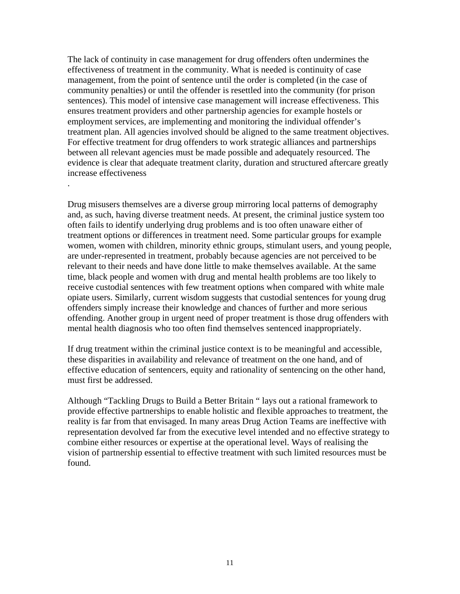The lack of continuity in case management for drug offenders often undermines the effectiveness of treatment in the community. What is needed is continuity of case management, from the point of sentence until the order is completed (in the case of community penalties) or until the offender is resettled into the community (for prison sentences). This model of intensive case management will increase effectiveness. This ensures treatment providers and other partnership agencies for example hostels or employment services, are implementing and monitoring the individual offender's treatment plan. All agencies involved should be aligned to the same treatment objectives. For effective treatment for drug offenders to work strategic alliances and partnerships between all relevant agencies must be made possible and adequately resourced. The evidence is clear that adequate treatment clarity, duration and structured aftercare greatly increase effectiveness .

Drug misusers themselves are a diverse group mirroring local patterns of demography and, as such, having diverse treatment needs. At present, the criminal justice system too often fails to identify underlying drug problems and is too often unaware either of treatment options or differences in treatment need. Some particular groups for example women, women with children, minority ethnic groups, stimulant users, and young people, are under-represented in treatment, probably because agencies are not perceived to be relevant to their needs and have done little to make themselves available. At the same time, black people and women with drug and mental health problems are too likely to receive custodial sentences with few treatment options when compared with white male opiate users. Similarly, current wisdom suggests that custodial sentences for young drug offenders simply increase their knowledge and chances of further and more serious offending. Another group in urgent need of proper treatment is those drug offenders with mental health diagnosis who too often find themselves sentenced inappropriately.

If drug treatment within the criminal justice context is to be meaningful and accessible, these disparities in availability and relevance of treatment on the one hand, and of effective education of sentencers, equity and rationality of sentencing on the other hand, must first be addressed.

Although "Tackling Drugs to Build a Better Britain " lays out a rational framework to provide effective partnerships to enable holistic and flexible approaches to treatment, the reality is far from that envisaged. In many areas Drug Action Teams are ineffective with representation devolved far from the executive level intended and no effective strategy to combine either resources or expertise at the operational level. Ways of realising the vision of partnership essential to effective treatment with such limited resources must be found.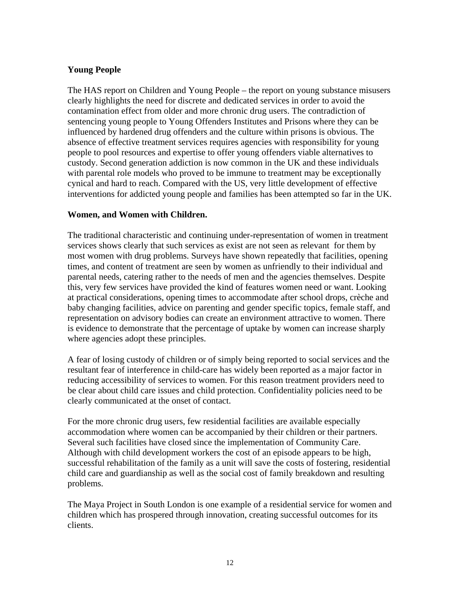# **Young People**

The HAS report on Children and Young People – the report on young substance misusers clearly highlights the need for discrete and dedicated services in order to avoid the contamination effect from older and more chronic drug users. The contradiction of sentencing young people to Young Offenders Institutes and Prisons where they can be influenced by hardened drug offenders and the culture within prisons is obvious. The absence of effective treatment services requires agencies with responsibility for young people to pool resources and expertise to offer young offenders viable alternatives to custody. Second generation addiction is now common in the UK and these individuals with parental role models who proved to be immune to treatment may be exceptionally cynical and hard to reach. Compared with the US, very little development of effective interventions for addicted young people and families has been attempted so far in the UK.

### **Women, and Women with Children.**

The traditional characteristic and continuing under-representation of women in treatment services shows clearly that such services as exist are not seen as relevant for them by most women with drug problems. Surveys have shown repeatedly that facilities, opening times, and content of treatment are seen by women as unfriendly to their individual and parental needs, catering rather to the needs of men and the agencies themselves. Despite this, very few services have provided the kind of features women need or want. Looking at practical considerations, opening times to accommodate after school drops, crèche and baby changing facilities, advice on parenting and gender specific topics, female staff, and representation on advisory bodies can create an environment attractive to women. There is evidence to demonstrate that the percentage of uptake by women can increase sharply where agencies adopt these principles.

A fear of losing custody of children or of simply being reported to social services and the resultant fear of interference in child-care has widely been reported as a major factor in reducing accessibility of services to women. For this reason treatment providers need to be clear about child care issues and child protection. Confidentiality policies need to be clearly communicated at the onset of contact.

For the more chronic drug users, few residential facilities are available especially accommodation where women can be accompanied by their children or their partners. Several such facilities have closed since the implementation of Community Care. Although with child development workers the cost of an episode appears to be high, successful rehabilitation of the family as a unit will save the costs of fostering, residential child care and guardianship as well as the social cost of family breakdown and resulting problems.

The Maya Project in South London is one example of a residential service for women and children which has prospered through innovation, creating successful outcomes for its clients.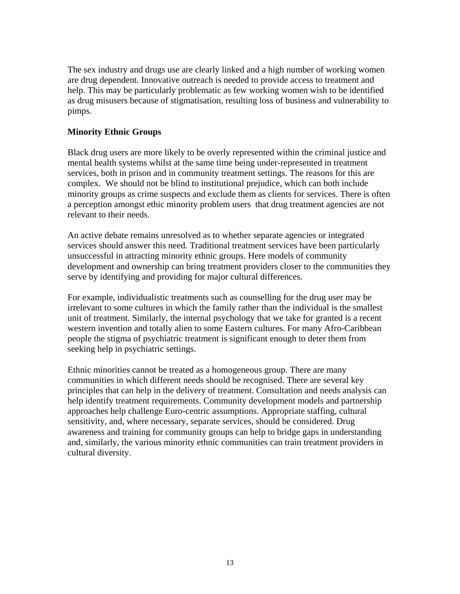The sex industry and drugs use are clearly linked and a high number of working women are drug dependent. Innovative outreach is needed to provide access to treatment and help. This may be particularly problematic as few working women wish to be identified as drug misusers because of stigmatisation, resulting loss of business and vulnerability to pimps.

### **Minority Ethnic Groups**

Black drug users are more likely to be overly represented within the criminal justice and mental health systems whilst at the same time being under-represented in treatment services, both in prison and in community treatment settings. The reasons for this are complex. We should not be blind to institutional prejudice, which can both include minority groups as crime suspects and exclude them as clients for services. There is often a perception amongst ethic minority problem users that drug treatment agencies are not relevant to their needs.

An active debate remains unresolved as to whether separate agencies or integrated services should answer this need. Traditional treatment services have been particularly unsuccessful in attracting minority ethnic groups. Here models of community development and ownership can bring treatment providers closer to the communities they serve by identifying and providing for major cultural differences.

For example, individualistic treatments such as counselling for the drug user may be irrelevant to some cultures in which the family rather than the individual is the smallest unit of treatment. Similarly, the internal psychology that we take for granted is a recent western invention and totally alien to some Eastern cultures. For many Afro-Caribbean people the stigma of psychiatric treatment is significant enough to deter them from seeking help in psychiatric settings.

Ethnic minorities cannot be treated as a homogeneous group. There are many communities in which different needs should be recognised. There are several key principles that can help in the delivery of treatment. Consultation and needs analysis can help identify treatment requirements. Community development models and partnership approaches help challenge Euro-centric assumptions. Appropriate staffing, cultural sensitivity, and, where necessary, separate services, should be considered. Drug awareness and training for community groups can help to bridge gaps in understanding and, similarly, the various minority ethnic communities can train treatment providers in cultural diversity.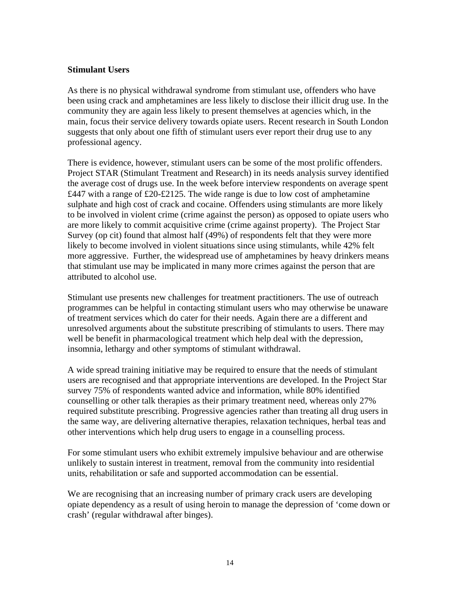#### **Stimulant Users**

As there is no physical withdrawal syndrome from stimulant use, offenders who have been using crack and amphetamines are less likely to disclose their illicit drug use. In the community they are again less likely to present themselves at agencies which, in the main, focus their service delivery towards opiate users. Recent research in South London suggests that only about one fifth of stimulant users ever report their drug use to any professional agency.

There is evidence, however, stimulant users can be some of the most prolific offenders. Project STAR (Stimulant Treatment and Research) in its needs analysis survey identified the average cost of drugs use. In the week before interview respondents on average spent £447 with a range of £20-£2125. The wide range is due to low cost of amphetamine sulphate and high cost of crack and cocaine. Offenders using stimulants are more likely to be involved in violent crime (crime against the person) as opposed to opiate users who are more likely to commit acquisitive crime (crime against property). The Project Star Survey (op cit) found that almost half (49%) of respondents felt that they were more likely to become involved in violent situations since using stimulants, while 42% felt more aggressive. Further, the widespread use of amphetamines by heavy drinkers means that stimulant use may be implicated in many more crimes against the person that are attributed to alcohol use.

Stimulant use presents new challenges for treatment practitioners. The use of outreach programmes can be helpful in contacting stimulant users who may otherwise be unaware of treatment services which do cater for their needs. Again there are a different and unresolved arguments about the substitute prescribing of stimulants to users. There may well be benefit in pharmacological treatment which help deal with the depression, insomnia, lethargy and other symptoms of stimulant withdrawal.

A wide spread training initiative may be required to ensure that the needs of stimulant users are recognised and that appropriate interventions are developed. In the Project Star survey 75% of respondents wanted advice and information, while 80% identified counselling or other talk therapies as their primary treatment need, whereas only 27% required substitute prescribing. Progressive agencies rather than treating all drug users in the same way, are delivering alternative therapies, relaxation techniques, herbal teas and other interventions which help drug users to engage in a counselling process.

For some stimulant users who exhibit extremely impulsive behaviour and are otherwise unlikely to sustain interest in treatment, removal from the community into residential units, rehabilitation or safe and supported accommodation can be essential.

We are recognising that an increasing number of primary crack users are developing opiate dependency as a result of using heroin to manage the depression of 'come down or crash' (regular withdrawal after binges).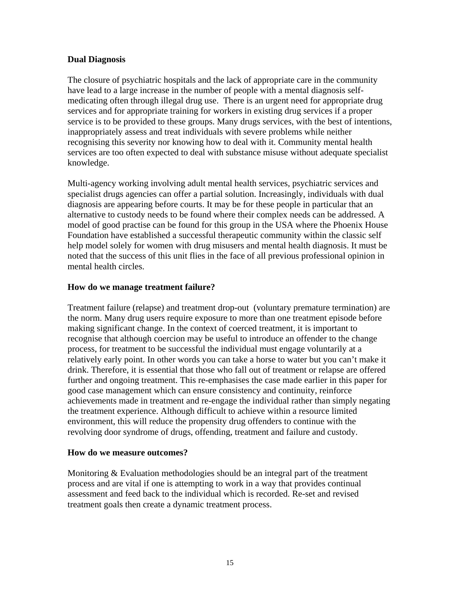### **Dual Diagnosis**

The closure of psychiatric hospitals and the lack of appropriate care in the community have lead to a large increase in the number of people with a mental diagnosis selfmedicating often through illegal drug use. There is an urgent need for appropriate drug services and for appropriate training for workers in existing drug services if a proper service is to be provided to these groups. Many drugs services, with the best of intentions, inappropriately assess and treat individuals with severe problems while neither recognising this severity nor knowing how to deal with it. Community mental health services are too often expected to deal with substance misuse without adequate specialist knowledge.

Multi-agency working involving adult mental health services, psychiatric services and specialist drugs agencies can offer a partial solution. Increasingly, individuals with dual diagnosis are appearing before courts. It may be for these people in particular that an alternative to custody needs to be found where their complex needs can be addressed. A model of good practise can be found for this group in the USA where the Phoenix House Foundation have established a successful therapeutic community within the classic self help model solely for women with drug misusers and mental health diagnosis. It must be noted that the success of this unit flies in the face of all previous professional opinion in mental health circles.

### **How do we manage treatment failure?**

Treatment failure (relapse) and treatment drop-out (voluntary premature termination) are the norm. Many drug users require exposure to more than one treatment episode before making significant change. In the context of coerced treatment, it is important to recognise that although coercion may be useful to introduce an offender to the change process, for treatment to be successful the individual must engage voluntarily at a relatively early point. In other words you can take a horse to water but you can't make it drink. Therefore, it is essential that those who fall out of treatment or relapse are offered further and ongoing treatment. This re-emphasises the case made earlier in this paper for good case management which can ensure consistency and continuity, reinforce achievements made in treatment and re-engage the individual rather than simply negating the treatment experience. Although difficult to achieve within a resource limited environment, this will reduce the propensity drug offenders to continue with the revolving door syndrome of drugs, offending, treatment and failure and custody.

#### **How do we measure outcomes?**

Monitoring & Evaluation methodologies should be an integral part of the treatment process and are vital if one is attempting to work in a way that provides continual assessment and feed back to the individual which is recorded. Re-set and revised treatment goals then create a dynamic treatment process.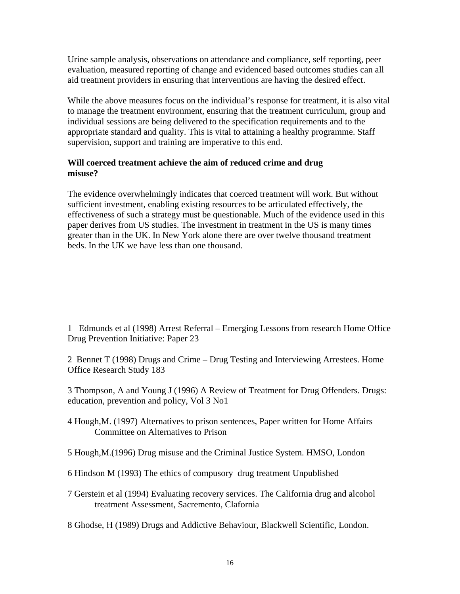Urine sample analysis, observations on attendance and compliance, self reporting, peer evaluation, measured reporting of change and evidenced based outcomes studies can all aid treatment providers in ensuring that interventions are having the desired effect.

While the above measures focus on the individual's response for treatment, it is also vital to manage the treatment environment, ensuring that the treatment curriculum, group and individual sessions are being delivered to the specification requirements and to the appropriate standard and quality. This is vital to attaining a healthy programme. Staff supervision, support and training are imperative to this end.

### **Will coerced treatment achieve the aim of reduced crime and drug misuse?**

The evidence overwhelmingly indicates that coerced treatment will work. But without sufficient investment, enabling existing resources to be articulated effectively, the effectiveness of such a strategy must be questionable. Much of the evidence used in this paper derives from US studies. The investment in treatment in the US is many times greater than in the UK. In New York alone there are over twelve thousand treatment beds. In the UK we have less than one thousand.

1 Edmunds et al (1998) Arrest Referral – Emerging Lessons from research Home Office Drug Prevention Initiative: Paper 23

2 Bennet T (1998) Drugs and Crime – Drug Testing and Interviewing Arrestees. Home Office Research Study 183

3 Thompson, A and Young J (1996) A Review of Treatment for Drug Offenders. Drugs: education, prevention and policy, Vol 3 No1

4 Hough,M. (1997) Alternatives to prison sentences, Paper written for Home Affairs Committee on Alternatives to Prison

5 Hough,M.(1996) Drug misuse and the Criminal Justice System. HMSO, London

- 6 Hindson M (1993) The ethics of compusory drug treatment Unpublished
- 7 Gerstein et al (1994) Evaluating recovery services. The California drug and alcohol treatment Assessment, Sacremento, Clafornia

8 Ghodse, H (1989) Drugs and Addictive Behaviour, Blackwell Scientific, London.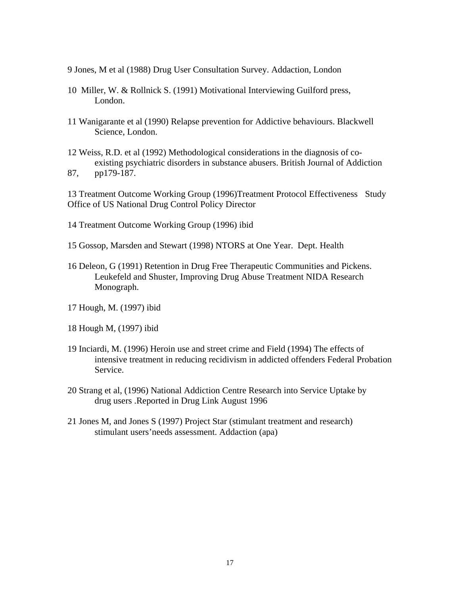- 9 Jones, M et al (1988) Drug User Consultation Survey. Addaction, London
- 10 Miller, W. & Rollnick S. (1991) Motivational Interviewing Guilford press, London.
- 11 Wanigarante et al (1990) Relapse prevention for Addictive behaviours. Blackwell Science, London.
- 12 Weiss, R.D. et al (1992) Methodological considerations in the diagnosis of co existing psychiatric disorders in substance abusers. British Journal of Addiction 87, pp179-187.

13 Treatment Outcome Working Group (1996)Treatment Protocol Effectiveness Study Office of US National Drug Control Policy Director

- 14 Treatment Outcome Working Group (1996) ibid
- 15 Gossop, Marsden and Stewart (1998) NTORS at One Year. Dept. Health
- 16 Deleon, G (1991) Retention in Drug Free Therapeutic Communities and Pickens. Leukefeld and Shuster, Improving Drug Abuse Treatment NIDA Research Monograph.
- 17 Hough, M. (1997) ibid
- 18 Hough M, (1997) ibid
- 19 Inciardi, M. (1996) Heroin use and street crime and Field (1994) The effects of intensive treatment in reducing recidivism in addicted offenders Federal Probation Service.
- 20 Strang et al, (1996) National Addiction Centre Research into Service Uptake by drug users .Reported in Drug Link August 1996
- 21 Jones M, and Jones S (1997) Project Star (stimulant treatment and research) stimulant users'needs assessment. Addaction (apa)